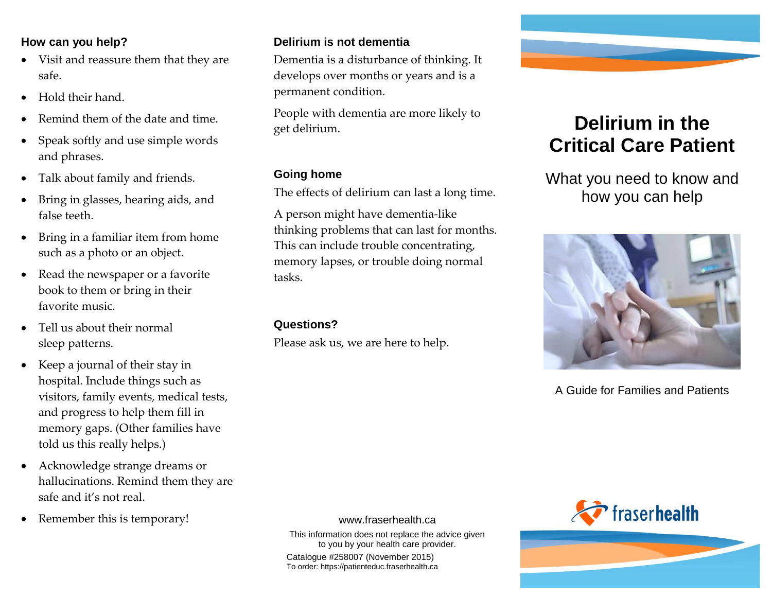#### **How can you help?**

- Visit and reassure them that they are safe.
- Hold their hand.
- Remind them of the date and time.
- Speak softly and use simple words and phrases.
- Talk about family and friends.
- Bring in glasses, hearing aids, and false teeth.
- Bring in a familiar item from home such as a photo or an object.
- Read the newspaper or a favorite book to them or bring in their favorite music.
- Tell us about their normal sleep patterns.
- Keep a journal of their stay in hospital. Include things such as visitors, family events, medical tests, and progress to help them fill in memory gaps. (Other families have told us this really helps.)
- Acknowledge strange dreams or hallucinations. Remind them they are safe and it's not real.
- Remember this is temporary!

#### **Delirium is not dementia**

Dementia is a disturbance of thinking. It develops over months or years and is a permanent condition.

People with dementia are more likely to get delirium.

#### **Going home**

The effects of delirium can last a long time.

A person might have dementia-like thinking problems that can last for months. This can include trouble concentrating, memory lapses, or trouble doing normal tasks.

#### **Questions?**

Please ask us, we are here to help.



# **Delirium in the Critical Care Patient**

What you need to know and how you can help



A Guide for Families and Patients



#### www.fraserhealth.ca

This information does not replace the advice given to you by your health care provider.

Catalogue #258007 (November 2015) To order: https://patienteduc.fraserhealth.ca